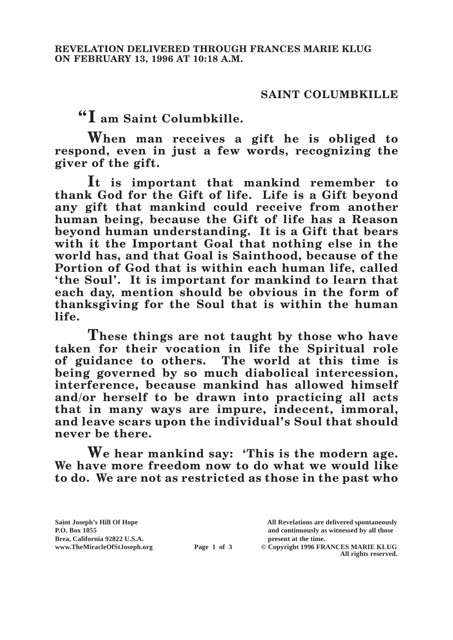## **SAINT COLUMBKILLE**

**"I am Saint Columbkille.**

**When man receives a gift he is obliged to respond, even in just a few words, recognizing the giver of the gift.**

**It is important that mankind remember to thank God for the Gift of life. Life is a Gift beyond any gift that mankind could receive from another human being, because the Gift of life has a Reason beyond human understanding. It is a Gift that bears with it the Important Goal that nothing else in the world has, and that Goal is Sainthood, because of the Portion of God that is within each human life, called 'the Soul'. It is important for mankind to learn that each day, mention should be obvious in the form of thanksgiving for the Soul that is within the human life.**

**These things are not taught by those who have taken for their vocation in life the Spiritual role of guidance to others. The world at this time is being governed by so much diabolical intercession, interference, because mankind has allowed himself and/or herself to be drawn into practicing all acts that in many ways are impure, indecent, immoral, and leave scars upon the individual's Soul that should never be there.**

**We hear mankind say: 'This is the modern age. We have more freedom now to do what we would like to do. We are not as restricted as those in the past who** 

**Saint Joseph's Hill Of Hope All Revelations are delivered spontaneously P.O. Box 1055 and continuously as witnessed by all those** 

**Page 1 of 3** © Copyright 1996 FRANCES MARIE KLUG **All rights reserved.**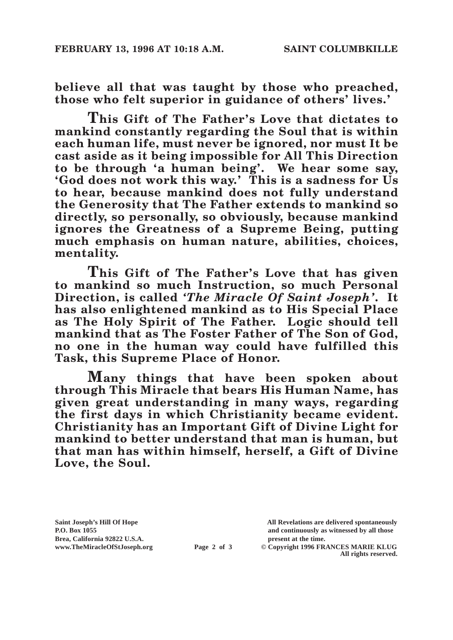**believe all that was taught by those who preached, those who felt superior in guidance of others' lives.'**

**This Gift of The Father's Love that dictates to mankind constantly regarding the Soul that is within each human life, must never be ignored, nor must It be cast aside as it being impossible for All This Direction to be through 'a human being'. We hear some say, 'God does not work this way.' This is a sadness for Us to hear, because mankind does not fully understand the Generosity that The Father extends to mankind so directly, so personally, so obviously, because mankind ignores the Greatness of a Supreme Being, putting much emphasis on human nature, abilities, choices, mentality.**

**This Gift of The Father's Love that has given to mankind so much Instruction, so much Personal Direction, is called** *'The Miracle Of Saint Joseph'***. It has also enlightened mankind as to His Special Place as The Holy Spirit of The Father. Logic should tell mankind that as The Foster Father of The Son of God, no one in the human way could have fulfilled this Task, this Supreme Place of Honor.**

**Many things that have been spoken about through This Miracle that bears His Human Name, has given great understanding in many ways, regarding the first days in which Christianity became evident. Christianity has an Important Gift of Divine Light for mankind to better understand that man is human, but that man has within himself, herself, a Gift of Divine Love, the Soul.**

Brea, California 92822 U.S.A.<br>
www.TheMiracleOfStJoseph.org<br> **Page 2 of 3** © Copyright 1996 FR.

**Saint Joseph's Hill Of Hope All Revelations are delivered spontaneously P.O. Box 1055 and continuously as witnessed by all those** 

**Page 2 of 3** © Copyright 1996 FRANCES MARIE KLUG **All rights reserved.**